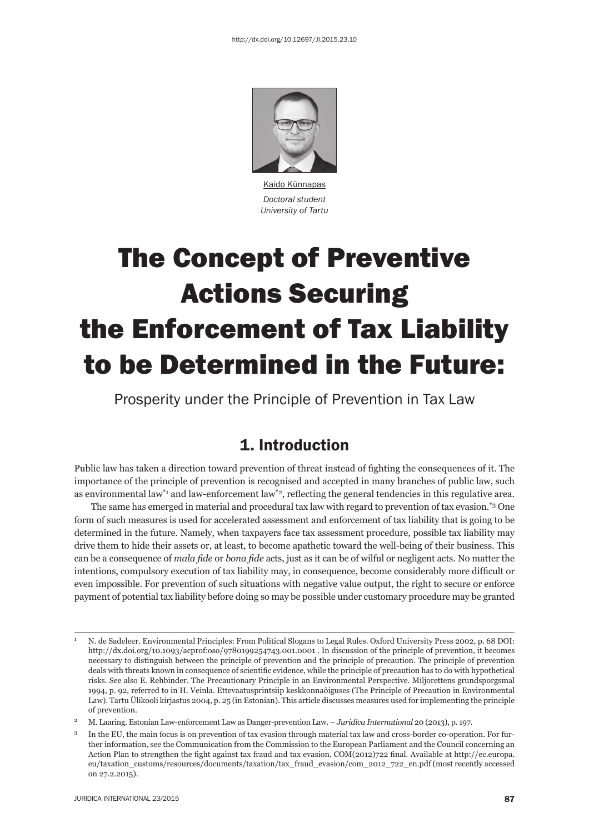

Kaido Künnapas *Doctoral student University of Tartu*

# The Concept of Preventive Actions Securing the Enforcement of Tax Liability to be Determined in the Future:

Prosperity under the Principle of Prevention in Tax Law

## 1. Introduction

Public law has taken a direction toward prevention of threat instead of fighting the consequences of it. The importance of the principle of prevention is recognised and accepted in many branches of public law, such as environmental law<sup>\*1</sup> and law-enforcement law<sup>\*2</sup>, reflecting the general tendencies in this regulative area.

The same has emerged in material and procedural tax law with regard to prevention of tax evasion.\*3 One form of such measures is used for accelerated assessment and enforcement of tax liability that is going to be determined in the future. Namely, when taxpayers face tax assessment procedure, possible tax liability may drive them to hide their assets or, at least, to become apathetic toward the well-being of their business. This can be a consequence of *mala fide* or *bona fide* acts, just as it can be of wilful or negligent acts. No matter the intentions, compulsory execution of tax liability may, in consequence, become considerably more difficult or even impossible. For prevention of such situations with negative value output, the right to secure or enforce payment of potential tax liability before doing so may be possible under customary procedure may be granted

<sup>1</sup> N. de Sadeleer. Environmental Principles: From Political Slogans to Legal Rules. Oxford University Press 2002, p. 68 DOI: http://dx.doi.org/10.1093/acprof:oso/9780199254743.001.0001 . In discussion of the principle of prevention, it becomes necessary to distinguish between the principle of prevention and the principle of precaution. The principle of prevention deals with threats known in consequence of scientific evidence, while the principle of precaution has to do with hypothetical risks. See also E. Rehbinder. The Precautionary Principle in an Environmental Perspective. Miljorettens grundsporgsmal 1994, p. 92, referred to in H. Veinla. Ettevaatusprintsiip keskkonnaõiguses (The Principle of Precaution in Environmental Law). Tartu Ülikooli kirjastus 2004, p. 25 (in Estonian). This article discusses measures used for implementing the principle of prevention.

<sup>2</sup> M. Laaring. Estonian Law-enforcement Law as Danger-prevention Law. – *Juridica International* 20 (2013), p. 197.

<sup>3</sup> In the EU, the main focus is on prevention of tax evasion through material tax law and cross-border co-operation. For further information, see the Communication from the Commission to the European Parliament and the Council concerning an Action Plan to strengthen the fight against tax fraud and tax evasion. COM(2012)722 final. Available at http://ec.europa. eu/taxation\_customs/resources/documents/taxation/tax\_fraud\_evasion/com\_2012\_722\_en.pdf (most recently accessed on 27.2.2015).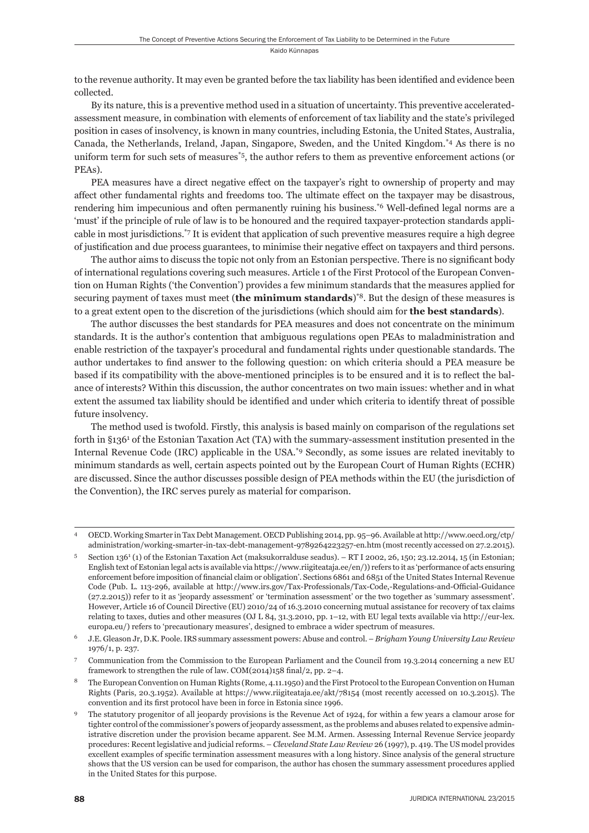to the revenue authority. It may even be granted before the tax liability has been identified and evidence been collected.

By its nature, this is a preventive method used in a situation of uncertainty. This preventive acceleratedassessment measure, in combination with elements of enforcement of tax liability and the state's privileged position in cases of insolvency, is known in many countries, including Estonia, the United States, Australia, Canada, the Netherlands, Ireland, Japan, Singapore, Sweden, and the United Kingdom.\*4 As there is no uniform term for such sets of measures<sup>\*5</sup>, the author refers to them as preventive enforcement actions (or PEAs).

PEA measures have a direct negative effect on the taxpayer's right to ownership of property and may affect other fundamental rights and freedoms too. The ultimate effect on the taxpayer may be disastrous, rendering him impecunious and often permanently ruining his business.<sup>\*6</sup> Well-defined legal norms are a 'must' if the principle of rule of law is to be honoured and the required taxpayer-protection standards applicable in most jurisdictions.\*7 It is evident that application of such preventive measures require a high degree of justifi cation and due process guarantees, to minimise their negative effect on taxpayers and third persons.

The author aims to discuss the topic not only from an Estonian perspective. There is no significant body of international regulations covering such measures. Article 1 of the First Protocol of the European Convention on Human Rights ('the Convention') provides a few minimum standards that the measures applied for securing payment of taxes must meet (**the minimum standards**)\*8. But the design of these measures is to a great extent open to the discretion of the jurisdictions (which should aim for **the best standards**).

The author discusses the best standards for PEA measures and does not concentrate on the minimum standards. It is the author's contention that ambiguous regulations open PEAs to maladministration and enable restriction of the taxpayer's procedural and fundamental rights under questionable standards. The author undertakes to find answer to the following question: on which criteria should a PEA measure be based if its compatibility with the above-mentioned principles is to be ensured and it is to reflect the balance of interests? Within this discussion, the author concentrates on two main issues: whether and in what extent the assumed tax liability should be identified and under which criteria to identify threat of possible future insolvency.

The method used is twofold. Firstly, this analysis is based mainly on comparison of the regulations set forth in §136<sup>1</sup> of the Estonian Taxation Act (TA) with the summary-assessment institution presented in the Internal Revenue Code (IRC) applicable in the USA.\*9 Secondly, as some issues are related inevitably to minimum standards as well, certain aspects pointed out by the European Court of Human Rights (ECHR) are discussed. Since the author discusses possible design of PEA methods within the EU (the jurisdiction of the Convention), the IRC serves purely as material for comparison.

<sup>4</sup> OECD. Working Smarter in Tax Debt Management. OECD Publishing 2014, pp. 95–96. Available at http://www.oecd.org/ctp/ administration/working-smarter-in-tax-debt-management-9789264223257-en.htm (most recently accessed on 27.2.2015).

<sup>5</sup> Section 136<sup>1</sup> (1) of the Estonian Taxation Act (maksukorralduse seadus). – RT I 2002, 26, 150; 23.12.2014, 15 (in Estonian; English text of Estonian legal acts is available via https://www.riigiteataja.ee/en/)) refers to it as 'performance of acts ensuring enforcement before imposition of financial claim or obligation'. Sections 6861 and 6851 of the United States Internal Revenue Code (Pub. L. 113-296, available at http://www.irs.gov/Tax-Professionals/Tax-Code,-Regulations-and-Official-Guidance (27.2.2015)) refer to it as 'jeopardy assessment' or 'termination assessment' or the two together as 'summary assessment'. However, Article 16 of Council Directive (EU) 2010/24 of 16.3.2010 concerning mutual assistance for recovery of tax claims relating to taxes, duties and other measures (OJ L 84, 31.3.2010, pp. 1–12, with EU legal texts available via http://eur-lex. europa.eu/) refers to 'precautionary measures', designed to embrace a wider spectrum of measures.

<sup>6</sup> J.E. Gleason Jr, D.K. Poole. IRS summary assessment powers: Abuse and control. – *Brigham Young University Law Review* 1976/1, p. 237.

<sup>7</sup> Communication from the Commission to the European Parliament and the Council from 19.3.2014 concerning a new EU framework to strengthen the rule of law.  $COM(2014)158$  final/2, pp. 2–4.

<sup>8</sup> The European Convention on Human Rights (Rome, 4.11.1950) and the First Protocol to the European Conven tion on Human Rights (Paris, 20.3.1952). Available at https://www.riigiteataja.ee/akt/78154 (most recently accessed on 10.3.2015). The convention and its first protocol have been in force in Estonia since 1996.

<sup>9</sup> The statutory progenitor of all jeopardy provisions is the Revenue Act of 1924, for within a few years a clamour arose for tighter control of the commissioner's powers of jeopardy assessment, as the problems and abuses related to expensive administrative discretion under the provision became apparent. See M.M. Armen. Assessing Internal Revenue Service jeopardy procedures: Recent legislative and judicial reforms. – *Cleveland State Law Review* 26 (1997), p. 419. The US model provides excellent examples of specific termination assessment measures with a long history. Since analysis of the general structure shows that the US version can be used for comparison, the author has chosen the summary assessment procedures applied in the United States for this purpose.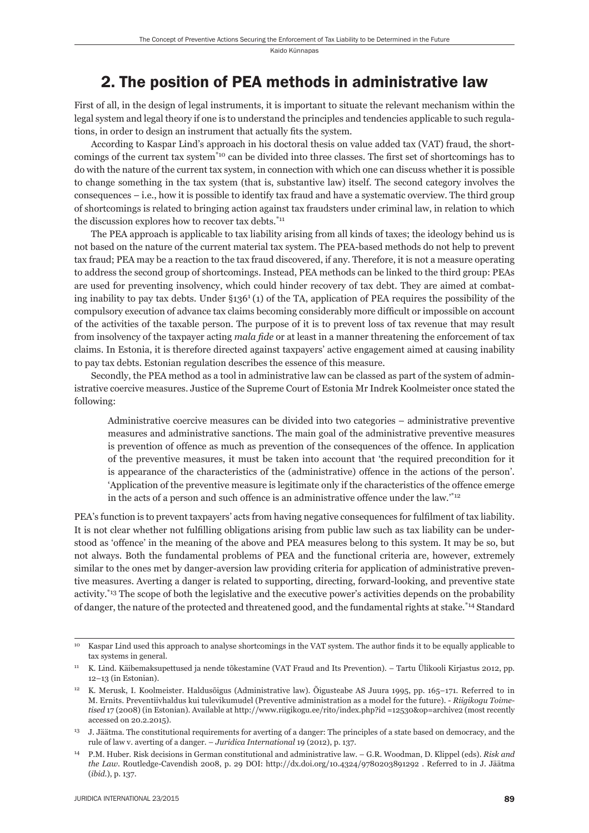## 2. The position of PEA methods in administrative law

First of all, in the design of legal instruments, it is important to situate the relevant mechanism within the legal system and legal theory if one is to understand the principles and tendencies applicable to such regulations, in order to design an instrument that actually fits the system.

According to Kaspar Lind's approach in his doctoral thesis on value added tax (VAT) fraud, the shortcomings of the current tax system<sup>\*10</sup> can be divided into three classes. The first set of shortcomings has to do with the nature of the current tax system, in connection with which one can discuss whether it is possible to change something in the tax system (that is, substantive law) itself. The second category involves the consequences – i.e., how it is possible to identify tax fraud and have a systematic overview. The third group of shortcomings is related to bringing action against tax fraudsters under criminal law, in relation to which the discussion explores how to recover tax debts.<sup>\*11</sup>

The PEA approach is applicable to tax liability arising from all kinds of taxes; the ideology behind us is not based on the nature of the current material tax system. The PEA-based methods do not help to prevent tax fraud; PEA may be a reaction to the tax fraud discovered, if any. Therefore, it is not a measure operating to address the second group of shortcomings. Instead, PEA methods can be linked to the third group: PEAs are used for preventing insolvency, which could hinder recovery of tax debt. They are aimed at combating inability to pay tax debts. Under  $\S 136^1(1)$  of the TA, application of PEA requires the possibility of the compulsory execution of advance tax claims becoming considerably more difficult or impossible on account of the activities of the taxable person. The purpose of it is to prevent loss of tax revenue that may result from insolvency of the taxpayer acting *mala fide* or at least in a manner threatening the enforcement of tax claims. In Estonia, it is therefore directed against taxpayers' active engagement aimed at causing inability to pay tax debts. Estonian regulation describes the essence of this measure.

Secondly, the PEA method as a tool in administrative law can be classed as part of the system of administrative coercive measures. Justice of the Supreme Court of Estonia Mr Indrek Koolmeister once stated the following:

Administrative coercive measures can be divided into two categories – administrative preventive measures and administrative sanctions. The main goal of the administrative preventive measures is prevention of offence as much as prevention of the consequences of the offence. In application of the preventive measures, it must be taken into account that 'the required precondition for it is appearance of the characteristics of the (administrative) offence in the actions of the person'. 'Application of the preventive measure is legitimate only if the characteristics of the offence emerge in the acts of a person and such offence is an administrative offence under the law.'\*12

PEA's function is to prevent taxpayers' acts from having negative consequences for fulfilment of tax liability. It is not clear whether not fulfilling obligations arising from public law such as tax liability can be understood as 'offence' in the meaning of the above and PEA measures belong to this system. It may be so, but not always. Both the fundamental problems of PEA and the functional criteria are, however, extremely similar to the ones met by danger-aversion law providing criteria for application of administrative preventive measures. Averting a danger is related to supporting, directing, forward-looking, and preventive state activity.\*13 The scope of both the legislative and the executive power's activities depends on the probability of danger, the nature of the protected and threatened good, and the fundamental rights at stake.\*14 Standard

<sup>&</sup>lt;sup>10</sup> Kaspar Lind used this approach to analyse shortcomings in the VAT system. The author finds it to be equally applicable to tax systems in general.

<sup>11</sup> K. Lind. Käibemaksupettused ja nende tõkestamine (VAT Fraud and Its Prevention). – Tartu Ülikooli Kirjastus 2012, pp. 12–13 (in Estonian).

<sup>&</sup>lt;sup>12</sup> K. Merusk, I. Koolmeister. Haldusõigus (Administrative law). Õigusteabe AS Juura 1995, pp. 165–171. Referred to in M. Ernits. Preventiivhaldus kui tulevikumudel (Preventive administration as a model for the future). - *Riigikogu Toimetised* 17 (2008) (in Estonian). Available at http://www.riigikogu.ee/rito/index.php?id =12530&op=archive2 (most recently accessed on 20.2.2015).

<sup>13</sup> J. Jäätma. The constitutional requirements for averting of a danger: The principles of a state based on democracy, and the rule of law v. averting of a danger. – *Juridica International* 19 (2012), p. 137.

<sup>14</sup> P.M. Huber. Risk decisions in German constitutional and administrative law. – G.R. Woodman, D. Klippel (eds). *Risk and the Law*. Routledge-Cavendish 2008, p. 29 DOI: http://dx.doi.org/10.4324/9780203891292 . Referred to in J. Jäätma (*ibid*.), p. 137.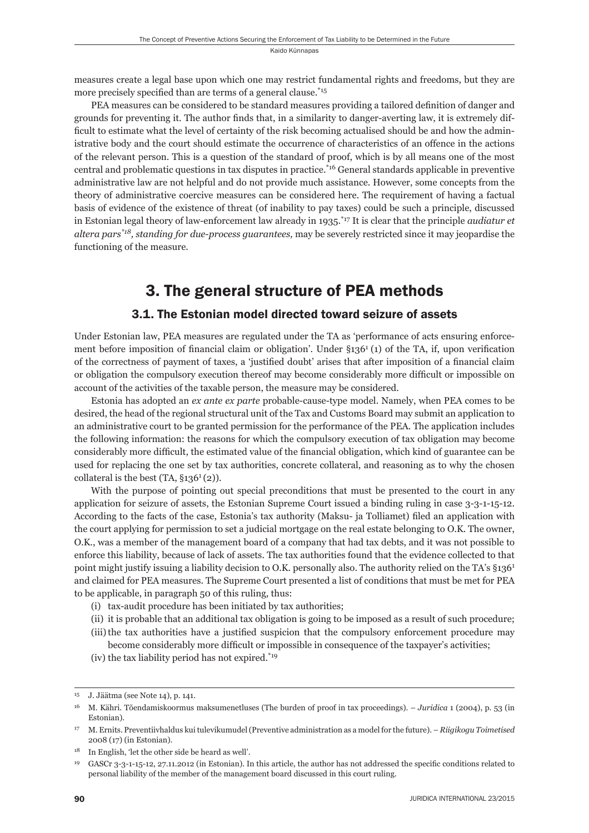measures create a legal base upon which one may restrict fundamental rights and freedoms, but they are more precisely specified than are terms of a general clause.\*15

PEA measures can be considered to be standard measures providing a tailored definition of danger and grounds for preventing it. The author finds that, in a similarity to danger-averting law, it is extremely difficult to estimate what the level of certainty of the risk becoming actualised should be and how the administrative body and the court should estimate the occurrence of characteristics of an offence in the actions of the relevant person. This is a question of the standard of proof, which is by all means one of the most central and problematic questions in tax disputes in practice.\*16 General standards applicable in preventive administrative law are not helpful and do not provide much assistance. However, some concepts from the theory of administrative coercive measures can be considered here. The requirement of having a factual basis of evidence of the existence of threat (of inability to pay taxes) could be such a principle, discussed in Estonian legal theory of law-enforcement law already in 1935.\*17 It is clear that the principle *audiatur et altera pars\*18, standing for due-process guarantees,* may be severely restricted since it may jeopardise the functioning of the measure.

# 3. The general structure of PEA methods

### 3.1. The Estonian model directed toward seizure of assets

Under Estonian law, PEA measures are regulated under the TA as 'performance of acts ensuring enforcement before imposition of financial claim or obligation'. Under  $\S 136<sup>1</sup>$  (1) of the TA, if, upon verification of the correctness of payment of taxes, a 'justified doubt' arises that after imposition of a financial claim or obligation the compulsory execution thereof may become considerably more difficult or impossible on account of the activities of the taxable person, the measure may be considered.

Estonia has adopted an *ex ante ex parte* probable-cause-type model. Namely, when PEA comes to be desired, the head of the regional structural unit of the Tax and Customs Board may submit an application to an administrative court to be granted permission for the performance of the PEA. The application includes the following information: the reasons for which the compulsory execution of tax obligation may become considerably more difficult, the estimated value of the financial obligation, which kind of guarantee can be used for replacing the one set by tax authorities, concrete collateral, and reasoning as to why the chosen collateral is the best  $(TA, §136<sup>1</sup>(2))$ .

With the purpose of pointing out special preconditions that must be presented to the court in any application for seizure of assets, the Estonian Supreme Court issued a binding ruling in case 3-3-1-15-12. According to the facts of the case, Estonia's tax authority (Maksu- ja Tolliamet) filed an application with the court applying for permission to set a judicial mortgage on the real estate belonging to O.K. The owner, O.K., was a member of the management board of a company that had tax debts, and it was not possible to enforce this liability, because of lack of assets. The tax authorities found that the evidence collected to that point might justify issuing a liability decision to O.K. personally also. The authority relied on the TA's §136<sup>1</sup> and claimed for PEA measures. The Supreme Court presented a list of conditions that must be met for PEA to be applicable, in paragraph 50 of this ruling, thus:

- (i) tax-audit procedure has been initiated by tax authorities;
- (ii) it is probable that an additional tax obligation is going to be imposed as a result of such procedure; (iii) the tax authorities have a justified suspicion that the compulsory enforcement procedure may
- become considerably more difficult or impossible in consequence of the taxpayer's activities;
- (iv) the tax liability period has not expired.\*19

<sup>15</sup> J. Jäätma (see Note 14), p. 141.

<sup>16</sup> M. Kähri. Tõendamiskoormus maksumenetluses (The burden of proof in tax proceedings). – *Juridica* 1 (2004), p. 53 (in Estonian).

<sup>17</sup> M. Ernits. Preventiivhaldus kui tulevikumudel (Preventive administration as a model for the future). – *Riigikogu Toimetised* 2008 (17) (in Estonian).

<sup>18</sup> In English, 'let the other side be heard as well'.

<sup>19</sup> GASCr 3-3-1-15-12, 27.11.2012 (in Estonian). In this article, the author has not addressed the specifi c conditions related to personal liability of the member of the management board discussed in this court ruling.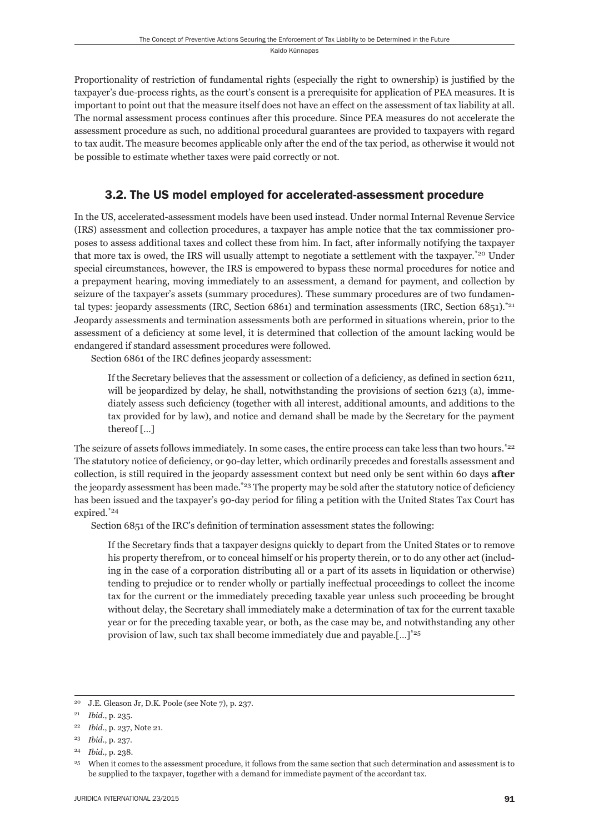Proportionality of restriction of fundamental rights (especially the right to ownership) is justified by the taxpayer's due-process rights, as the court's consent is a prerequisite for application of PEA measures. It is important to point out that the measure itself does not have an effect on the assessment of tax liability at all. The normal assessment process continues after this procedure. Since PEA measures do not accelerate the assessment procedure as such, no additional procedural guarantees are provided to taxpayers with regard to tax audit. The measure becomes applicable only after the end of the tax period, as otherwise it would not be possible to estimate whether taxes were paid correctly or not.

## 3.2. The US model employed for accelerated-assessment procedure

In the US, accelerated-assessment models have been used instead. Under normal Internal Revenue Service (IRS) assessment and collection procedures, a taxpayer has ample notice that the tax commissioner proposes to assess additional taxes and collect these from him. In fact, after informally notifying the taxpayer that more tax is owed, the IRS will usually attempt to negotiate a settlement with the taxpayer.\*20 Under special circumstances, however, the IRS is empowered to bypass these normal procedures for notice and a prepayment hearing, moving immediately to an assessment, a demand for payment, and collection by seizure of the taxpayer's assets (summary procedures). These summary procedures are of two fundamental types: jeopardy assessments (IRC, Section 6861) and termination assessments (IRC, Section 6851).<sup>\*21</sup> Jeopardy assessments and termination assessments both are performed in situations wherein, prior to the assessment of a deficiency at some level, it is determined that collection of the amount lacking would be endangered if standard assessment procedures were followed.

Section 6861 of the IRC defines jeopardy assessment:

If the Secretary believes that the assessment or collection of a deficiency, as defined in section 6211, will be jeopardized by delay, he shall, notwithstanding the provisions of section 6213 (a), immediately assess such deficiency (together with all interest, additional amounts, and additions to the tax provided for by law), and notice and demand shall be made by the Secretary for the payment thereof […]

The seizure of assets follows immediately. In some cases, the entire process can take less than two hours.<sup>\*22</sup> The statutory notice of deficiency, or 90-day letter, which ordinarily precedes and forestalls assessment and collection, is still required in the jeopardy assessment context but need only be sent within 60 days **after** the jeopardy assessment has been made.<sup>\*23</sup> The property may be sold after the statutory notice of deficiency has been issued and the taxpayer's 90-day period for filing a petition with the United States Tax Court has expired.\*24

Section 6851 of the IRC's definition of termination assessment states the following:

If the Secretary finds that a taxpayer designs quickly to depart from the United States or to remove his property therefrom, or to conceal himself or his property therein, or to do any other act (including in the case of a corporation distributing all or a part of its assets in liquidation or otherwise) tending to prejudice or to render wholly or partially ineffectual proceedings to collect the income tax for the current or the immediately preceding taxable year unless such proceeding be brought without delay, the Secretary shall immediately make a determination of tax for the current taxable year or for the preceding taxable year, or both, as the case may be, and notwithstanding any other provision of law, such tax shall become immediately due and payable.[…]\*25

<sup>20</sup> J.E. Gleason Jr, D.K. Poole (see Note 7), p. 237.

<sup>21</sup> *Ibid*., p. 235.

<sup>22</sup> *Ibid*., p. 237, Note 21.

<sup>23</sup> *Ibid*., p. 237.

<sup>24</sup> *Ibid*., p. 238.

<sup>&</sup>lt;sup>25</sup> When it comes to the assessment procedure, it follows from the same section that such determination and assessment is to be supplied to the taxpayer, together with a demand for immediate payment of the accordant tax.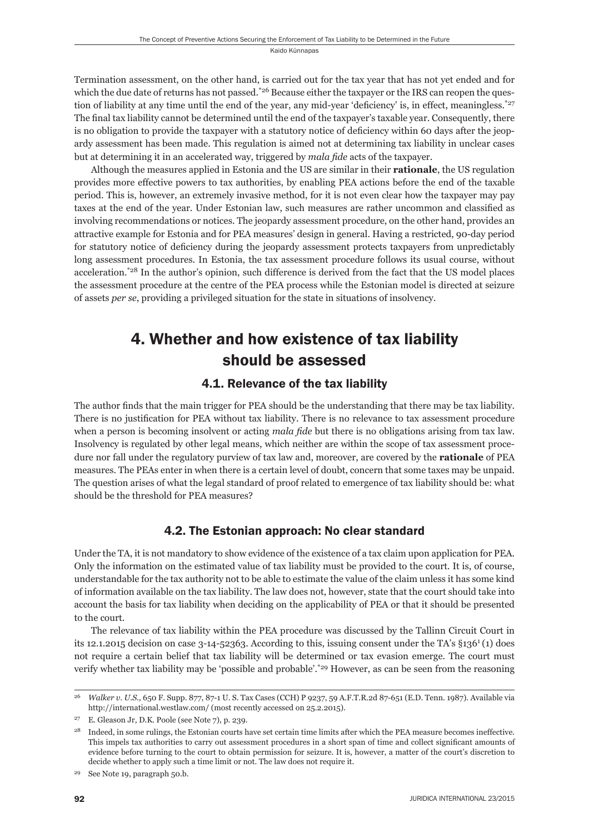Termination assessment, on the other hand, is carried out for the tax year that has not yet ended and for which the due date of returns has not passed.<sup>\*26</sup> Because either the taxpayer or the IRS can reopen the question of liability at any time until the end of the year, any mid-year 'deficiency' is, in effect, meaningless.<sup>\*27</sup> The final tax liability cannot be determined until the end of the taxpayer's taxable year. Consequently, there is no obligation to provide the taxpayer with a statutory notice of deficiency within 60 days after the jeopardy assessment has been made. This regulation is aimed not at determining tax liability in unclear cases but at determining it in an accelerated way, triggered by *mala fide* acts of the taxpayer.

Although the measures applied in Estonia and the US are similar in their **rationale**, the US regulation provides more effective powers to tax authorities, by enabling PEA actions before the end of the taxable period. This is, however, an extremely invasive method, for it is not even clear how the taxpayer may pay taxes at the end of the year. Under Estonian law, such measures are rather uncommon and classified as involving recommendations or notices. The jeopardy assessment procedure, on the other hand, provides an attractive example for Estonia and for PEA measures' design in general. Having a restricted, 90-day period for statutory notice of deficiency during the jeopardy assessment protects taxpayers from unpredictably long assessment procedures. In Estonia, the tax assessment procedure follows its usual course, without acceleration.\*28 In the author's opinion, such difference is derived from the fact that the US model places the assessment procedure at the centre of the PEA process while the Estonian model is directed at seizure of assets *per se*, providing a privileged situation for the state in situations of insolvency*.* 

# 4. Whether and how existence of tax liability should be assessed

## 4.1. Relevance of the tax liability

The author finds that the main trigger for PEA should be the understanding that there may be tax liability. There is no justification for PEA without tax liability. There is no relevance to tax assessment procedure when a person is becoming insolvent or acting *mala fide* but there is no obligations arising from tax law. Insolvency is regulated by other legal means, which neither are within the scope of tax assessment procedure nor fall under the regulatory purview of tax law and, moreover, are covered by the **rationale** of PEA measures. The PEAs enter in when there is a certain level of doubt, concern that some taxes may be unpaid. The question arises of what the legal standard of proof related to emergence of tax liability should be: what should be the threshold for PEA measures?

## 4.2. The Estonian approach: No clear standard

Under the TA, it is not mandatory to show evidence of the existence of a tax claim upon application for PEA. Only the information on the estimated value of tax liability must be provided to the court. It is, of course, understandable for the tax authority not to be able to estimate the value of the claim unless it has some kind of information available on the tax liability. The law does not, however, state that the court should take into account the basis for tax liability when deciding on the applicability of PEA or that it should be presented to the court.

The relevance of tax liability within the PEA procedure was discussed by the Tallinn Circuit Court in its 12.1.2015 decision on case 3-14-52363. According to this, issuing consent under the TA's §1361 (1) does not require a certain belief that tax liability will be determined or tax evasion emerge. The court must verify whether tax liability may be 'possible and probable'.\*29 However, as can be seen from the reasoning

<sup>26</sup> *Walker v. U.S.,* 650 F. Supp. 877, 87-1 U. S. Tax Cases (CCH) P 9237, 59 A.F.T.R.2d 87-651 (E.D. Tenn. 1987). Available via http://international.westlaw.com/ (most recently accessed on 25.2.2015).

<sup>27</sup> E. Gleason Jr, D.K. Poole (see Note 7), p. 239.

<sup>&</sup>lt;sup>28</sup> Indeed, in some rulings, the Estonian courts have set certain time limits after which the PEA measure becomes ineffective. This impels tax authorities to carry out assessment procedures in a short span of time and collect significant amounts of evidence before turning to the court to obtain permission for seizure. It is, however, a matter of the court's discretion to decide whether to apply such a time limit or not. The law does not require it.

<sup>29</sup> See Note 19, paragraph 50.b.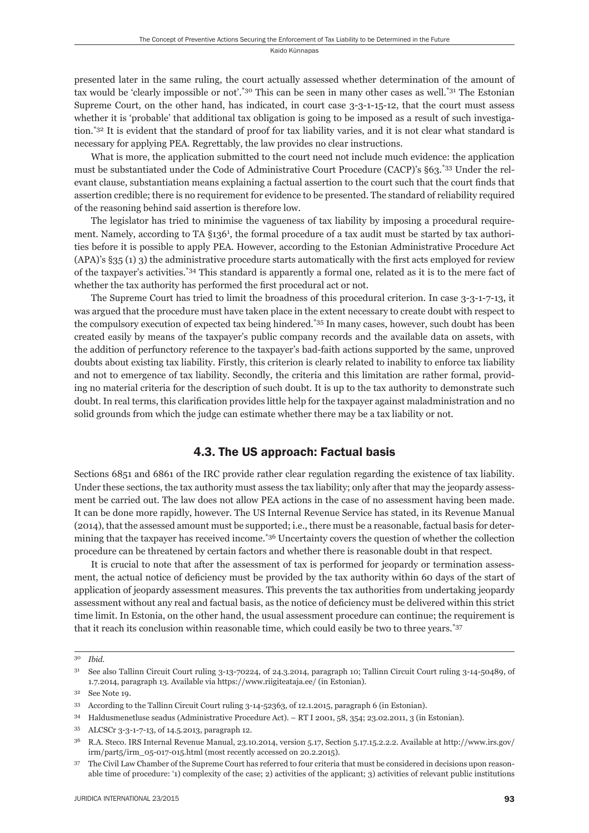presented later in the same ruling, the court actually assessed whether determination of the amount of tax would be 'clearly impossible or not'.\*30 This can be seen in many other cases as well.\*31 The Estonian Supreme Court, on the other hand, has indicated, in court case 3-3-1-15-12, that the court must assess whether it is 'probable' that additional tax obligation is going to be imposed as a result of such investigation.\*32 It is evident that the standard of proof for tax liability varies, and it is not clear what standard is necessary for applying PEA. Regrettably, the law provides no clear instructions.

What is more, the application submitted to the court need not include much evidence: the application must be substantiated under the Code of Administrative Court Procedure (CACP)'s §63.\*33 Under the relevant clause, substantiation means explaining a factual assertion to the court such that the court finds that assertion credible; there is no requirement for evidence to be presented. The standard of reliability required of the reasoning behind said assertion is therefore low.

The legislator has tried to minimise the vagueness of tax liability by imposing a procedural requirement. Namely, according to TA §136<sup>1</sup>, the formal procedure of a tax audit must be started by tax authorities before it is possible to apply PEA. However, according to the Estonian Administrative Procedure Act  $(APA)'s$  §35 (1) 3) the administrative procedure starts automatically with the first acts employed for review of the taxpayer's activities.\*34 This standard is apparently a formal one, related as it is to the mere fact of whether the tax authority has performed the first procedural act or not.

The Supreme Court has tried to limit the broadness of this procedural criterion. In case 3-3-1-7-13, it was argued that the procedure must have taken place in the extent necessary to create doubt with respect to the compulsory execution of expected tax being hindered.\*35 In many cases, however, such doubt has been created easily by means of the taxpayer's public company records and the available data on assets, with the addition of perfunctory reference to the taxpayer's bad-faith actions supported by the same, unproved doubts about existing tax liability. Firstly, this criterion is clearly related to inability to enforce tax liability and not to emergence of tax liability. Secondly, the criteria and this limitation are rather formal, providing no material criteria for the description of such doubt. It is up to the tax authority to demonstrate such doubt. In real terms, this clarification provides little help for the taxpayer against maladministration and no solid grounds from which the judge can estimate whether there may be a tax liability or not.

#### 4.3. The US approach: Factual basis

Sections 6851 and 6861 of the IRC provide rather clear regulation regarding the existence of tax liability. Under these sections, the tax authority must assess the tax liability; only after that may the jeopardy assessment be carried out. The law does not allow PEA actions in the case of no assessment having been made. It can be done more rapidly, however. The US Internal Revenue Service has stated, in its Revenue Manual (2014), that the assessed amount must be supported; i.e., there must be a reasonable, factual basis for determining that the taxpayer has received income.\*36 Uncertainty covers the question of whether the collection procedure can be threatened by certain factors and whether there is reasonable doubt in that respect.

It is crucial to note that after the assessment of tax is performed for jeopardy or termination assessment, the actual notice of deficiency must be provided by the tax authority within 60 days of the start of application of jeopardy assessment measures. This prevents the tax authorities from undertaking jeopardy assessment without any real and factual basis, as the notice of deficiency must be delivered within this strict time limit. In Estonia, on the other hand, the usual assessment procedure can continue; the requirement is that it reach its conclusion within reasonable time, which could easily be two to three years.\*37

<sup>30</sup> *Ibid.*

<sup>31</sup> See also Tallinn Circuit Court ruling 3-13-70224, of 24.3.2014, paragraph 10; Tallinn Circuit Court ruling 3-14-50489, of 1.7.2014, paragraph 13. Available via https://www.riigiteataja.ee/ (in Estonian).

<sup>32</sup> See Note 19.

<sup>33</sup> According to the Tallinn Circuit Court ruling 3-14-52363, of 12.1.2015, paragraph 6 (in Estonian).

<sup>34</sup> Haldusmenetluse seadus (Administrative Procedure Act). – RT I 2001, 58, 354; 23.02.2011, 3 (in Estonian).

<sup>35</sup> ALCSCr 3-3-1-7-13, of 14.5.2013, paragraph 12.

<sup>36</sup> R.A. Steco. IRS Internal Revenue Manual, 23.10.2014, version 5.17, Section 5.17.15.2.2.2. Available at http://www.irs.gov/ irm/part5/irm\_05-017-015.html (most recently accessed on 20.2.2015).

<sup>37</sup> The Civil Law Chamber of the Supreme Court has referred to four criteria that must be considered in decisions upon reasonable time of procedure: '1) complexity of the case; 2) activities of the applicant; 3) activities of relevant public institutions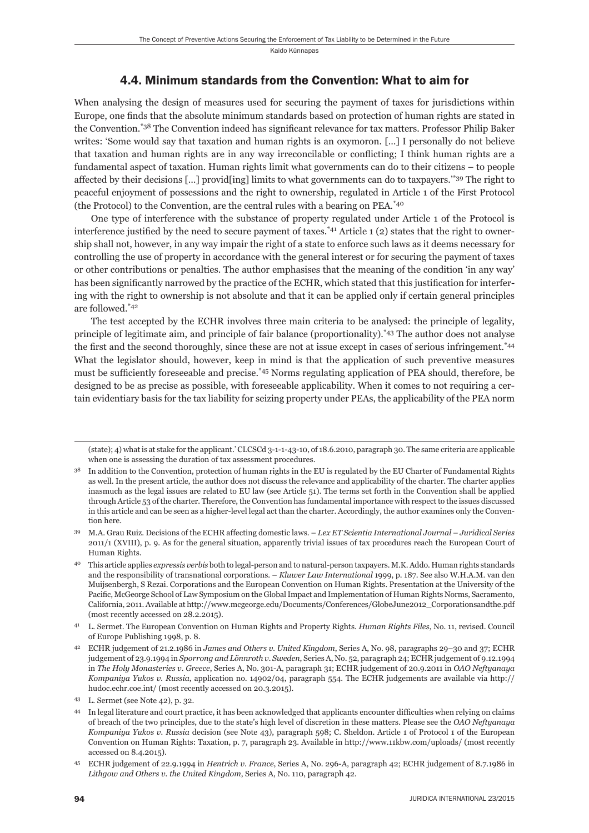#### 4.4. Minimum standards from the Convention: What to aim for

When analysing the design of measures used for securing the payment of taxes for jurisdictions within Europe, one finds that the absolute minimum standards based on protection of human rights are stated in the Convention.<sup>\*38</sup> The Convention indeed has significant relevance for tax matters. Professor Philip Baker writes: 'Some would say that taxation and human rights is an oxymoron. […] I personally do not believe that taxation and human rights are in any way irreconcilable or conflicting; I think human rights are a fundamental aspect of taxation. Human rights limit what governments can do to their citizens – to people affected by their decisions […] provid[ing] limits to what governments can do to taxpayers.'\*39 The right to peaceful enjoyment of possessions and the right to ownership, regulated in Article 1 of the First Protocol (the Protocol) to the Convention, are the central rules with a bearing on PEA.\*40

One type of interference with the substance of property regulated under Article 1 of the Protocol is interference justified by the need to secure payment of taxes.<sup>\*41</sup> Article 1 (2) states that the right to ownership shall not, however, in any way impair the right of a state to enforce such laws as it deems necessary for controlling the use of property in accordance with the general interest or for securing the payment of taxes or other contributions or penalties. The author emphasises that the meaning of the condition 'in any way' has been significantly narrowed by the practice of the ECHR, which stated that this justification for interfering with the right to ownership is not absolute and that it can be applied only if certain general principles are followed.\*42

The test accepted by the ECHR involves three main criteria to be analysed: the principle of legality, principle of legitimate aim, and principle of fair balance (proportionality).\*43 The author does not analyse the first and the second thoroughly, since these are not at issue except in cases of serious infringement.<sup>\*44</sup> What the legislator should, however, keep in mind is that the application of such preventive measures must be sufficiently foreseeable and precise.<sup>\*45</sup> Norms regulating application of PEA should, therefore, be designed to be as precise as possible, with foreseeable applicability. When it comes to not requiring a certain evidentiary basis for the tax liability for seizing property under PEAs, the applicability of the PEA norm

<sup>(</sup>state); 4) what is at stake for the applicant.' CLCSCd 3-1-1-43-10, of 18.6.2010, paragraph 30. The same criteria are applicable when one is assessing the duration of tax assessment procedures.

<sup>&</sup>lt;sup>38</sup> In addition to the Convention, protection of human rights in the EU is regulated by the EU Charter of Fundamental Rights as well. In the present article, the author does not discuss the relevance and applicability of the charter. The charter applies inasmuch as the legal issues are related to EU law (see Article 51). The terms set forth in the Convention shall be applied through Article 53 of the charter. Therefore, the Convention has fundamental importance with respect to the issues discussed in this article and can be seen as a higher-level legal act than the charter. Accordingly, the author examines only the Convention here.

<sup>39</sup> M.A. Grau Ruiz. Decisions of the ECHR affecting domestic laws. – *Lex ET Scientia International Journal – Juridical Series* 2011/1 (XVIII), p. 9. As for the general situation, apparently trivial issues of tax procedures reach the European Court of Human Rights.

<sup>40</sup> This article applies *expressis verbis* both to legal-person and to natural-person taxpayers. M.K. Addo. Human rights standards and the responsibility of transnational corporations. – *Kluwer Law International* 1999, p. 187. See also W.H.A.M. van den Muijsenbergh, S Rezai. Corporations and the European Convention on Human Rights. Presentation at the University of the Pacific, McGeorge School of Law Symposium on the Global Impact and Implementation of Human Rights Norms, Sacramento, California, 2011. Available at http://www.mcgeorge.edu/Documents/Conferences/GlobeJune2012\_Corporationsandthe.pdf (most recently accessed on 28.2.2015).

<sup>41</sup> L. Sermet. The European Convention on Human Rights and Property Rights. *Human Rights Files*, No. 11, revised. Council of Europe Publishing 1998, p. 8.

<sup>42</sup> ECHR judgement of 21.2.1986 in *James and Others v. United Kingdom*, Series A, No. 98, paragraphs 29–30 and 37; ECHR judgement of 23.9.1994 in *Sporrong and Lönnroth v. Sweden*, Series A, No. 52, paragraph 24; ECHR judgement of 9.12.1994 in *The Holy Monasteries v. Greece*, Series A, No. 301-A, paragraph 31; ECHR judgement of 20.9.2011 in *OAO Neftyanaya Kompaniya Yukos v. Russia*, application no. 14902/04, paragraph 554. The ECHR judgements are available via http:// hudoc.echr.coe.int/ (most recently accessed on 20.3.2015).

<sup>43</sup> L. Sermet (see Note 42), p. 32.

<sup>&</sup>lt;sup>44</sup> In legal literature and court practice, it has been acknowledged that applicants encounter difficulties when relying on claims of breach of the two principles, due to the state's high level of discretion in these matters. Please see the *OAO Neftyanaya Kompaniya Yukos v. Russia* decision (see Note 43), paragraph 598; C. Sheldon. Article 1 of Protocol 1 of the European Convention on Human Rights: Taxation, p. 7, paragraph 23. Available in http://www.11kbw.com/uploads/ (most recently accessed on 8.4.2015).

<sup>45</sup> ECHR judgement of 22.9.1994 in *Hentrich v. France*, Series A, No. 296-A, paragraph 42; ECHR judgement of 8.7.1986 in *Lithgow and Others v. the United Kingdom*, Series A, No. 110, paragraph 42.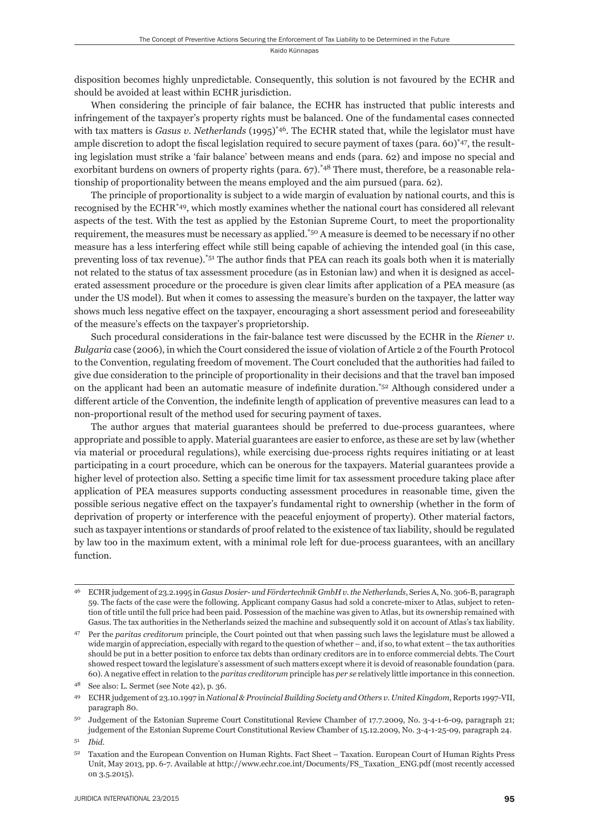disposition becomes highly unpredictable. Consequently, this solution is not favoured by the ECHR and should be avoided at least within ECHR jurisdiction.

When considering the principle of fair balance, the ECHR has instructed that public interests and infringement of the taxpayer's property rights must be balanced. One of the fundamental cases connected with tax matters is *Gasus v. Netherlands* (1995)<sup>\*46</sup>. The ECHR stated that, while the legislator must have ample discretion to adopt the fiscal legislation required to secure payment of taxes (para. 60)\*47, the resulting legislation must strike a 'fair balance' between means and ends (para. 62) and impose no special and exorbitant burdens on owners of property rights (para. 67).<sup>\*48</sup> There must, therefore, be a reasonable relationship of proportionality between the means employed and the aim pursued (para. 62).

The principle of proportionality is subject to a wide margin of evaluation by national courts, and this is recognised by the ECHR\*49, which mostly examines whether the national court has considered all relevant aspects of the test. With the test as applied by the Estonian Supreme Court, to meet the proportionality requirement, the measures must be necessary as applied.\*50 A measure is deemed to be necessary if no other measure has a less interfering effect while still being capable of achieving the intended goal (in this case, preventing loss of tax revenue).<sup>\*51</sup> The author finds that PEA can reach its goals both when it is materially not related to the status of tax assessment procedure (as in Estonian law) and when it is designed as accelerated assessment procedure or the procedure is given clear limits after application of a PEA measure (as under the US model). But when it comes to assessing the measure's burden on the taxpayer, the latter way shows much less negative effect on the taxpayer, encouraging a short assessment period and foreseeability of the measure's effects on the taxpayer's proprietorship.

Such procedural considerations in the fair-balance test were discussed by the ECHR in the *Riener v. Bulgaria* case (2006), in which the Court considered the issue of violation of Article 2 of the Fourth Protocol to the Convention, regulating freedom of movement*.* The Court concluded that the authorities had failed to give due consideration to the principle of proportionality in their decisions and that the travel ban imposed on the applicant had been an automatic measure of indefinite duration.<sup>\*52</sup> Although considered under a different article of the Convention, the indefinite length of application of preventive measures can lead to a non-proportional result of the method used for securing payment of taxes.

The author argues that material guarantees should be preferred to due-process guarantees, where appropriate and possible to apply. Material guarantees are easier to enforce, as these are set by law (whether via material or procedural regulations), while exercising due-process rights requires initiating or at least participating in a court procedure, which can be onerous for the taxpayers. Material guarantees provide a higher level of protection also. Setting a specific time limit for tax assessment procedure taking place after application of PEA measures supports conducting assessment procedures in reasonable time, given the possible serious negative effect on the taxpayer's fundamental right to ownership (whether in the form of deprivation of property or interference with the peaceful enjoyment of property). Other material factors, such as taxpayer intentions or standards of proof related to the existence of tax liability, should be regulated by law too in the maximum extent, with a minimal role left for due-process guarantees, with an ancillary function.

<sup>46</sup> ECHR judgement of 23.2.1995 in *Gasus Dosier- und Fördertechnik GmbH v. the Netherlands*, Series A, No. 306-B, paragraph 59. The facts of the case were the following. Applicant company Gasus had sold a concrete-mixer to Atlas, subject to retention of title until the full price had been paid. Possession of the machine was given to Atlas, but its ownership remained with Gasus. The tax authorities in the Netherlands seized the machine and subsequently sold it on account of Atlas's tax liability.

<sup>47</sup> Per the *paritas creditorum* principle, the Court pointed out that when passing such laws the legislature must be allowed a wide margin of appreciation, especially with regard to the question of whether – and, if so, to what extent – the tax authorities should be put in a better position to enforce tax debts than ordinary creditors are in to enforce commercial debts. The Court showed respect toward the legislature's assessment of such matters except where it is devoid of reasonable foundation (para. 60). A negative effect in relation to the *paritas creditorum* principle has *per se* relatively little importance in this connection.

<sup>48</sup> See also: L. Sermet (see Note 42), p. 36.

<sup>49</sup> ECHR judgement of 23.10.1997 in *National & Provincial Building Society and Others v. United Kingdom*, Reports 1997-VII, paragraph 80.

Judgement of the Estonian Supreme Court Constitutional Review Chamber of 17.7.2009, No. 3-4-1-6-09, paragraph 21; judgement of the Estonian Supreme Court Constitutional Review Chamber of 15.12.2009, No. 3-4-1-25-09, paragraph 24.

<sup>51</sup> *Ibid*.

<sup>52</sup> Taxation and the European Convention on Human Rights. Fact Sheet – Taxation. European Court of Human Rights Press Unit, May 2013, pp. 6-7. Available at http://www.echr.coe.int/Documents/FS\_Taxation\_ENG.pdf (most recently accessed on 3.5.2015).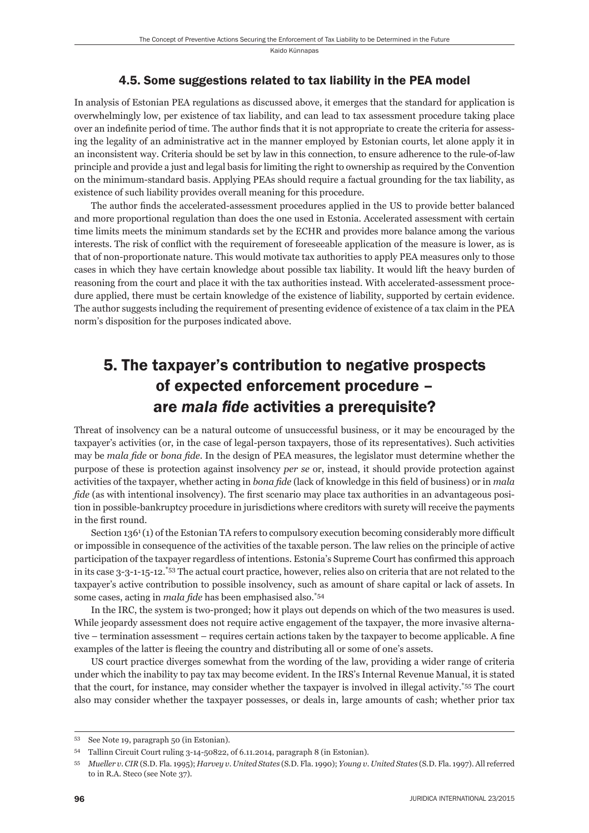#### 4.5. Some suggestions related to tax liability in the PEA model

In analysis of Estonian PEA regulations as discussed above, it emerges that the standard for application is overwhelmingly low, per existence of tax liability, and can lead to tax assessment procedure taking place over an indefinite period of time. The author finds that it is not appropriate to create the criteria for assessing the legality of an administrative act in the manner employed by Estonian courts, let alone apply it in an inconsistent way. Criteria should be set by law in this connection, to ensure adherence to the rule-of-law principle and provide a just and legal basis for limiting the right to ownership as required by the Convention on the minimum-standard basis. Applying PEAs should require a factual grounding for the tax liability, as existence of such liability provides overall meaning for this procedure.

The author finds the accelerated-assessment procedures applied in the US to provide better balanced and more proportional regulation than does the one used in Estonia. Accelerated assessment with certain time limits meets the minimum standards set by the ECHR and provides more balance among the various interests. The risk of conflict with the requirement of foreseeable application of the measure is lower, as is that of non-proportionate nature. This would motivate tax authorities to apply PEA measures only to those cases in which they have certain knowledge about possible tax liability. It would lift the heavy burden of reasoning from the court and place it with the tax authorities instead. With accelerated-assessment procedure applied, there must be certain knowledge of the existence of liability, supported by certain evidence. The author suggests including the requirement of presenting evidence of existence of a tax claim in the PEA norm's disposition for the purposes indicated above.

# 5. The taxpayer's contribution to negative prospects of expected enforcement procedure – are *mala fide* activities a prerequisite?

Threat of insolvency can be a natural outcome of unsuccessful business, or it may be encouraged by the taxpayer's activities (or, in the case of legal-person taxpayers, those of its representatives). Such activities may be *mala fide* or *bona fide*. In the design of PEA measures, the legislator must determine whether the purpose of these is protection against insolvency *per se* or, instead, it should provide protection against activities of the taxpayer, whether acting in *bona fide* (lack of knowledge in this field of business) or in *mala fide* (as with intentional insolvency). The first scenario may place tax authorities in an advantageous position in possible-bankruptcy procedure in jurisdictions where creditors with surety will receive the payments in the first round.

Section  $136<sup>1</sup>(1)$  of the Estonian TA refers to compulsory execution becoming considerably more difficult or impossible in consequence of the activities of the taxable person. The law relies on the principle of active participation of the taxpayer regardless of intentions. Estonia's Supreme Court has confirmed this approach in its case 3-3-1-15-12.\*53 The actual court practice, however, relies also on criteria that are not related to the taxpayer's active contribution to possible insolvency, such as amount of share capital or lack of assets. In some cases, acting in *mala fide* has been emphasised also.<sup>\*54</sup>

In the IRC, the system is two-pronged; how it plays out depends on which of the two measures is used. While jeopardy assessment does not require active engagement of the taxpayer, the more invasive alternative – termination assessment – requires certain actions taken by the taxpayer to become applicable. A fine examples of the latter is fleeing the country and distributing all or some of one's assets.

US court practice diverges somewhat from the wording of the law, providing a wider range of criteria under which the inability to pay tax may become evident. In the IRS's Internal Revenue Manual, it is stated that the court, for instance, may consider whether the taxpayer is involved in illegal activity.\*55 The court also may consider whether the taxpayer possesses, or deals in, large amounts of cash; whether prior tax

<sup>53</sup> See Note 19, paragraph 50 (in Estonian).

<sup>54</sup> Tallinn Circuit Court ruling 3-14-50822, of 6.11.2014, paragraph 8 (in Estonian).

<sup>55</sup> *Mueller v. CIR* (S.D. Fla. 1995); *Harvey v. United States* (S.D. Fla. 1990); *Young v. United States* (S.D. Fla. 1997). All referred to in R.A. Steco (see Note 37).